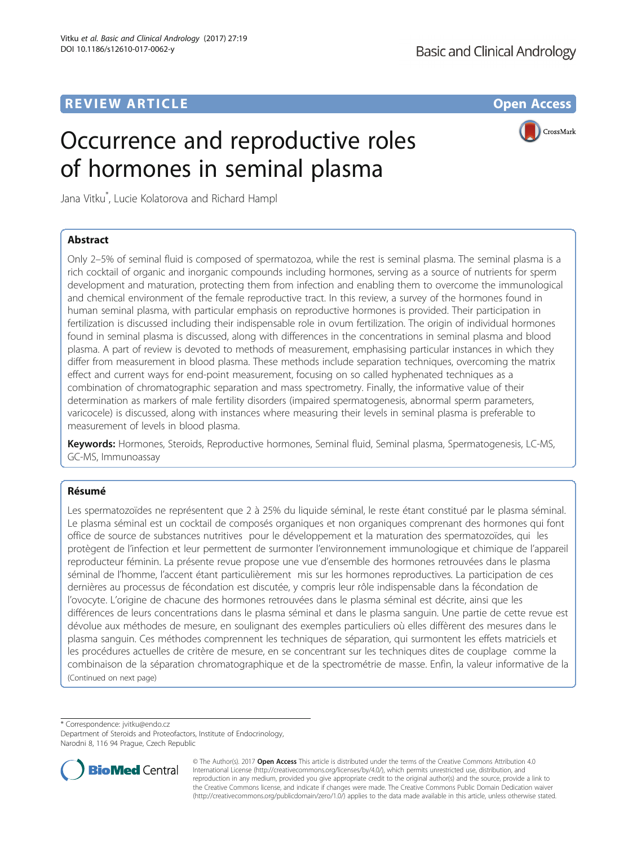# Occurrence and reproductive roles of hormones in seminal plasma



Jana Vitku\* , Lucie Kolatorova and Richard Hampl

# Abstract

Only 2–5% of seminal fluid is composed of spermatozoa, while the rest is seminal plasma. The seminal plasma is a rich cocktail of organic and inorganic compounds including hormones, serving as a source of nutrients for sperm development and maturation, protecting them from infection and enabling them to overcome the immunological and chemical environment of the female reproductive tract. In this review, a survey of the hormones found in human seminal plasma, with particular emphasis on reproductive hormones is provided. Their participation in fertilization is discussed including their indispensable role in ovum fertilization. The origin of individual hormones found in seminal plasma is discussed, along with differences in the concentrations in seminal plasma and blood plasma. A part of review is devoted to methods of measurement, emphasising particular instances in which they differ from measurement in blood plasma. These methods include separation techniques, overcoming the matrix effect and current ways for end-point measurement, focusing on so called hyphenated techniques as a combination of chromatographic separation and mass spectrometry. Finally, the informative value of their determination as markers of male fertility disorders (impaired spermatogenesis, abnormal sperm parameters, varicocele) is discussed, along with instances where measuring their levels in seminal plasma is preferable to measurement of levels in blood plasma.

Keywords: Hormones, Steroids, Reproductive hormones, Seminal fluid, Seminal plasma, Spermatogenesis, LC-MS, GC-MS, Immunoassay

# Résumé

Les spermatozoïdes ne représentent que 2 à 25% du liquide séminal, le reste étant constitué par le plasma séminal. Le plasma séminal est un cocktail de composés organiques et non organiques comprenant des hormones qui font office de source de substances nutritives pour le développement et la maturation des spermatozoïdes, qui les protègent de l'infection et leur permettent de surmonter l'environnement immunologique et chimique de l'appareil reproducteur féminin. La présente revue propose une vue d'ensemble des hormones retrouvées dans le plasma séminal de l'homme, l'accent étant particulièrement mis sur les hormones reproductives. La participation de ces dernières au processus de fécondation est discutée, y compris leur rôle indispensable dans la fécondation de l'ovocyte. L'origine de chacune des hormones retrouvées dans le plasma séminal est décrite, ainsi que les différences de leurs concentrations dans le plasma séminal et dans le plasma sanguin. Une partie de cette revue est dévolue aux méthodes de mesure, en soulignant des exemples particuliers où elles diffèrent des mesures dans le plasma sanguin. Ces méthodes comprennent les techniques de séparation, qui surmontent les effets matriciels et les procédures actuelles de critère de mesure, en se concentrant sur les techniques dites de couplage comme la combinaison de la séparation chromatographique et de la spectrométrie de masse. Enfin, la valeur informative de la (Continued on next page)

\* Correspondence: [jvitku@endo.cz](mailto:jvitku@endo.cz)

Department of Steroids and Proteofactors, Institute of Endocrinology, Narodni 8, 116 94 Prague, Czech Republic



© The Author(s). 2017 **Open Access** This article is distributed under the terms of the Creative Commons Attribution 4.0 International License [\(http://creativecommons.org/licenses/by/4.0/](http://creativecommons.org/licenses/by/4.0/)), which permits unrestricted use, distribution, and reproduction in any medium, provided you give appropriate credit to the original author(s) and the source, provide a link to the Creative Commons license, and indicate if changes were made. The Creative Commons Public Domain Dedication waiver [\(http://creativecommons.org/publicdomain/zero/1.0/](http://creativecommons.org/publicdomain/zero/1.0/)) applies to the data made available in this article, unless otherwise stated.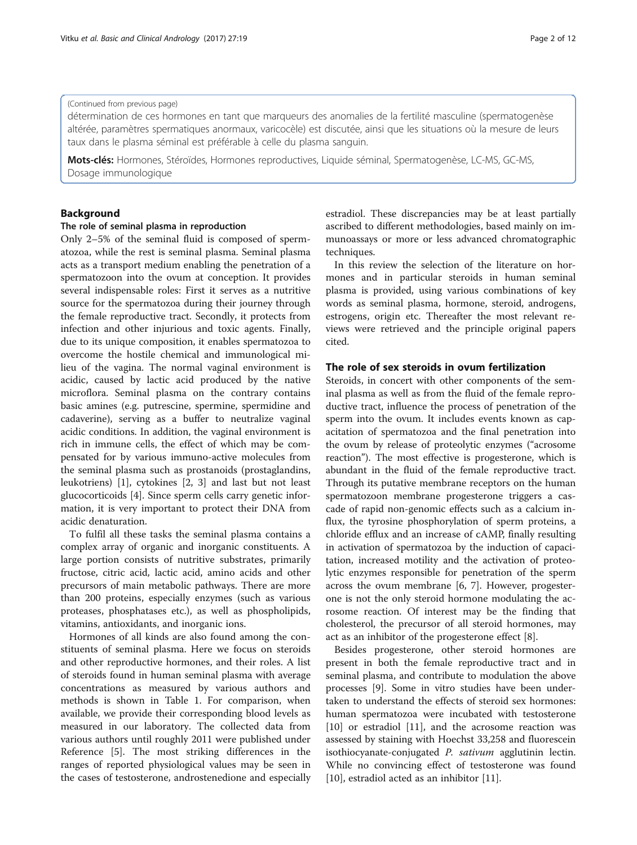## (Continued from previous page)

détermination de ces hormones en tant que marqueurs des anomalies de la fertilité masculine (spermatogenèse altérée, paramètres spermatiques anormaux, varicocèle) est discutée, ainsi que les situations où la mesure de leurs taux dans le plasma séminal est préférable à celle du plasma sanguin.

Mots-clés: Hormones, Stéroïdes, Hormones reproductives, Liquide séminal, Spermatogenèse, LC-MS, GC-MS, Dosage immunologique

# Background

# The role of seminal plasma in reproduction

Only 2–5% of the seminal fluid is composed of spermatozoa, while the rest is seminal plasma. Seminal plasma acts as a transport medium enabling the penetration of a spermatozoon into the ovum at conception. It provides several indispensable roles: First it serves as a nutritive source for the spermatozoa during their journey through the female reproductive tract. Secondly, it protects from infection and other injurious and toxic agents. Finally, due to its unique composition, it enables spermatozoa to overcome the hostile chemical and immunological milieu of the vagina. The normal [vagina](https://en.wikipedia.org/wiki/Vagina)l environment is [acidic](https://en.wikipedia.org/wiki/Acidic), caused by [lactic acid](https://en.wikipedia.org/wiki/Lactic_acid) produced by the native microflora. Seminal plasma on the contrary contains basic [amines](https://en.wikipedia.org/wiki/Amines) (e.g. [putrescine](https://en.wikipedia.org/wiki/Putrescine), [spermine](https://en.wikipedia.org/wiki/Spermine), [spermidine](https://en.wikipedia.org/wiki/Spermidine) and [cadaverine\)](https://en.wikipedia.org/wiki/Cadaverine), serving as a buffer to neutralize vaginal acidic conditions. In addition, the vaginal environment is rich in immune cells, the effect of which may be compensated for by various immuno-active molecules from the seminal plasma such as prostanoids (prostaglandins, leukotriens) [[1\]](#page-9-0), cytokines [\[2](#page-9-0), [3\]](#page-9-0) and last but not least glucocorticoids [[4\]](#page-9-0). Since sperm cells carry genetic information, it is very important to protect their [DNA](https://en.wikipedia.org/wiki/DNA) from acidic denaturation.

To fulfil all these tasks the seminal plasma contains a complex array of [organic](https://en.wikipedia.org/wiki/Organic_compound) and [inorganic](https://en.wikipedia.org/wiki/Inorganic) constituents. A large portion consists of nutritive substrates, primarily fructose, citric acid, lactic acid, amino acids and other precursors of main metabolic pathways. There are more than 200 proteins, especially enzymes (such as various proteases, phosphatases etc.), as well as phospholipids, vitamins, antioxidants, and inorganic ions.

Hormones of all kinds are also found among the constituents of seminal plasma. Here we focus on steroids and other reproductive hormones, and their roles. A list of steroids found in human seminal plasma with average concentrations as measured by various authors and methods is shown in Table [1](#page-2-0). For comparison, when available, we provide their corresponding blood levels as measured in our laboratory. The collected data from various authors until roughly 2011 were published under Reference [[5\]](#page-9-0). The most striking differences in the ranges of reported physiological values may be seen in the cases of testosterone, androstenedione and especially estradiol. These discrepancies may be at least partially ascribed to different methodologies, based mainly on immunoassays or more or less advanced chromatographic techniques.

In this review the selection of the literature on hormones and in particular steroids in human seminal plasma is provided, using various combinations of key words as seminal plasma, hormone, steroid, androgens, estrogens, origin etc. Thereafter the most relevant reviews were retrieved and the principle original papers cited.

# The role of sex steroids in ovum fertilization

Steroids, in concert with other components of the seminal plasma as well as from the fluid of the female reproductive tract, influence the process of penetration of the sperm into the ovum. It includes events known as capacitation of spermatozoa and the final penetration into the ovum by release of proteolytic enzymes ("acrosome reaction"). The most effective is progesterone, which is abundant in the fluid of the female reproductive tract. Through its putative membrane receptors on the human spermatozoon membrane progesterone triggers a cascade of rapid non-genomic effects such as a calcium influx, the tyrosine phosphorylation of sperm proteins, a chloride efflux and an increase of cAMP, finally resulting in activation of spermatozoa by the induction of capacitation, increased motility and the activation of proteolytic enzymes responsible for penetration of the sperm across the ovum membrane [\[6](#page-9-0), [7](#page-9-0)]. However, progesterone is not the only steroid hormone modulating the acrosome reaction. Of interest may be the finding that cholesterol, the precursor of all steroid hormones, may act as an inhibitor of the progesterone effect [\[8\]](#page-9-0).

Besides progesterone, other steroid hormones are present in both the female reproductive tract and in seminal plasma, and contribute to modulation the above processes [\[9](#page-9-0)]. Some in vitro studies have been undertaken to understand the effects of steroid sex hormones: human spermatozoa were incubated with testosterone [[10\]](#page-9-0) or estradiol [[11\]](#page-9-0), and the acrosome reaction was assessed by staining with Hoechst 33,258 and fluorescein isothiocyanate-conjugated P. sativum agglutinin lectin. While no convincing effect of testosterone was found [[10\]](#page-9-0), estradiol acted as an inhibitor [[11\]](#page-9-0).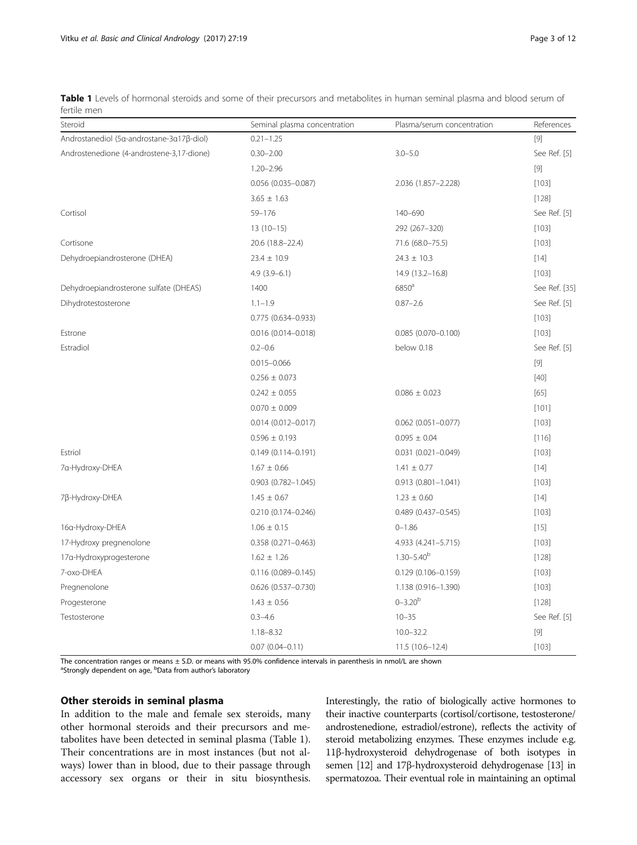<span id="page-2-0"></span>Table 1 Levels of hormonal steroids and some of their precursors and metabolites in human seminal plasma and blood serum of fertile men

| Steroid                                   | Seminal plasma concentration | Plasma/serum concentration | References    |
|-------------------------------------------|------------------------------|----------------------------|---------------|
| Androstanediol (5α-androstane-3α17β-diol) | $0.21 - 1.25$                |                            | $[9]$         |
| Androstenedione (4-androstene-3,17-dione) | $0.30 - 2.00$                | $3.0 - 5.0$                | See Ref. [5]  |
|                                           | $1.20 - 2.96$                |                            | $[9]$         |
|                                           | 0.056 (0.035-0.087)          | 2.036 (1.857-2.228)        | [103]         |
|                                           | $3.65 \pm 1.63$              |                            | $[128]$       |
| Cortisol                                  | 59-176                       | 140-690                    | See Ref. [5]  |
|                                           | $13(10-15)$                  | 292 (267-320)              | [103]         |
| Cortisone                                 | 20.6 (18.8-22.4)             | 71.6 (68.0-75.5)           | [103]         |
| Dehydroepiandrosterone (DHEA)             | $23.4 \pm 10.9$              | $24.3 \pm 10.3$            | $[14]$        |
|                                           | $4.9(3.9-6.1)$               | 14.9 (13.2-16.8)           | [103]         |
| Dehydroepiandrosterone sulfate (DHEAS)    | 1400                         | $6850$ <sup>a</sup>        | See Ref. [35] |
| Dihydrotestosterone                       | $1.1 - 1.9$                  | $0.87 - 2.6$               | See Ref. [5]  |
|                                           | 0.775 (0.634-0.933)          |                            | [103]         |
| Estrone                                   | 0.016 (0.014-0.018)          | $0.085(0.070 - 0.100)$     | [103]         |
| Estradiol                                 | $0.2 - 0.6$                  | below 0.18                 | See Ref. [5]  |
|                                           | $0.015 - 0.066$              |                            | $[9]$         |
|                                           | $0.256 \pm 0.073$            |                            | $[40]$        |
|                                           | $0.242 \pm 0.055$            | $0.086 \pm 0.023$          | $[65]$        |
|                                           | $0.070 \pm 0.009$            |                            | [101]         |
|                                           | $0.014 (0.012 - 0.017)$      | $0.062$ $(0.051 - 0.077)$  | [103]         |
|                                           | $0.596 \pm 0.193$            | $0.095 \pm 0.04$           | [116]         |
| Estriol                                   | $0.149(0.114 - 0.191)$       | $0.031$ $(0.021 - 0.049)$  | [103]         |
| 7a-Hydroxy-DHEA                           | $1.67 \pm 0.66$              | $1.41 \pm 0.77$            | $[14]$        |
|                                           | $0.903$ $(0.782 - 1.045)$    | $0.913(0.801 - 1.041)$     | [103]         |
| 7β-Hydroxy-DHEA                           | $1.45 \pm 0.67$              | $1.23 \pm 0.60$            | $[14]$        |
|                                           | $0.210(0.174 - 0.246)$       | 0.489 (0.437-0.545)        | [103]         |
| 16a-Hydroxy-DHEA                          | $1.06 \pm 0.15$              | $0 - 1.86$                 | $[15]$        |
| 17-Hydroxy pregnenolone                   | $0.358(0.271 - 0.463)$       | 4.933 (4.241-5.715)        | $[103]$       |
| 17a-Hydroxyprogesterone                   | $1.62 \pm 1.26$              | $1.30 - 5.40^{b}$          | [128]         |
| 7-oxo-DHEA                                | $0.116(0.089 - 0.145)$       | $0.129(0.106 - 0.159)$     | [103]         |
| Pregnenolone                              | $0.626$ (0.537-0.730)        | 1.138 (0.916-1.390)        | [103]         |
| Progesterone                              | $1.43 \pm 0.56$              | $0 - 3.20^{b}$             | $[128]$       |
| Testosterone                              | $0.3 - 4.6$                  | $10 - 35$                  | See Ref. [5]  |
|                                           | $1.18 - 8.32$                | $10.0 - 32.2$              |               |
|                                           | $0.07$ $(0.04 - 0.11)$       | $11.5(10.6 - 12.4)$        | [103]         |

The concentration ranges or means  $\pm$  S.D. or means with 95.0% confidence intervals in parenthesis in nmol/L are shown <sup>a</sup>Strongly dependent on age, <sup>b</sup>Data from author's laboratory

# Other steroids in seminal plasma

In addition to the male and female sex steroids, many other hormonal steroids and their precursors and metabolites have been detected in seminal plasma (Table 1). Their concentrations are in most instances (but not always) lower than in blood, due to their passage through accessory sex organs or their in situ biosynthesis. Interestingly, the ratio of biologically active hormones to their inactive counterparts (cortisol/cortisone, testosterone/ androstenedione, estradiol/estrone), reflects the activity of steroid metabolizing enzymes. These enzymes include e.g. 11β-hydroxysteroid dehydrogenase of both isotypes in semen [[12\]](#page-9-0) and 17β-hydroxysteroid dehydrogenase [[13](#page-9-0)] in spermatozoa. Their eventual role in maintaining an optimal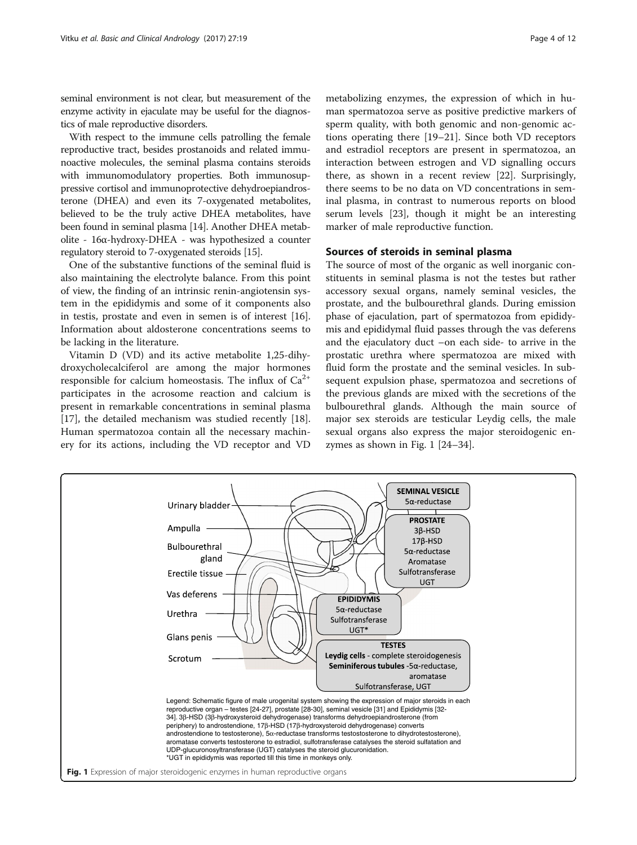seminal environment is not clear, but measurement of the enzyme activity in ejaculate may be useful for the diagnostics of male reproductive disorders.

With respect to the immune cells patrolling the female reproductive tract, besides prostanoids and related immunoactive molecules, the seminal plasma contains steroids with immunomodulatory properties. Both immunosuppressive cortisol and immunoprotective dehydroepiandrosterone (DHEA) and even its 7-oxygenated metabolites, believed to be the truly active DHEA metabolites, have been found in seminal plasma [\[14\]](#page-9-0). Another DHEA metabolite - 16α-hydroxy-DHEA - was hypothesized a counter regulatory steroid to 7-oxygenated steroids [\[15](#page-9-0)].

One of the substantive functions of the seminal fluid is also maintaining the electrolyte balance. From this point of view, the finding of an intrinsic renin-angiotensin system in the epididymis and some of it components also in testis, prostate and even in semen is of interest [\[16](#page-9-0)]. Information about aldosterone concentrations seems to be lacking in the literature.

Vitamin D (VD) and its active metabolite 1,25-dihydroxycholecalciferol are among the major hormones responsible for calcium homeostasis. The influx of  $Ca^{2+}$ participates in the acrosome reaction and calcium is present in remarkable concentrations in seminal plasma [[17\]](#page-9-0), the detailed mechanism was studied recently [\[18](#page-9-0)]. Human spermatozoa contain all the necessary machinery for its actions, including the VD receptor and VD

metabolizing enzymes, the expression of which in human spermatozoa serve as positive predictive markers of sperm quality, with both genomic and non-genomic actions operating there [[19](#page-9-0)–[21](#page-9-0)]. Since both VD receptors and estradiol receptors are present in spermatozoa, an interaction between estrogen and VD signalling occurs there, as shown in a recent review [\[22\]](#page-9-0). Surprisingly, there seems to be no data on VD concentrations in seminal plasma, in contrast to numerous reports on blood serum levels [\[23](#page-9-0)], though it might be an interesting marker of male reproductive function.

# Sources of steroids in seminal plasma

The source of most of the organic as well inorganic constituents in seminal plasma is not the testes but rather accessory sexual organs, namely [seminal vesicles,](https://en.wikipedia.org/wiki/Seminal_vesicle) the [prostate,](https://en.wikipedia.org/wiki/Prostate) and the [bulbourethral glands](https://en.wikipedia.org/wiki/Bulbourethral_gland). During emission phase of [ejaculation,](https://en.wikipedia.org/wiki/Ejaculation) part of spermatozoa from epididymis and epididymal fluid passes through the vas deferens and the ejaculatory duct –on each side- to arrive in the prostatic urethra where spermatozoa are mixed with fluid form the prostate and the seminal vesicles. In subsequent expulsion phase, spermatozoa and secretions of the previous glands are mixed with the secretions of the bulbourethral glands. Although the main source of major sex steroids are testicular Leydig cells, the male sexual organs also express the major steroidogenic enzymes as shown in Fig. 1 [[24](#page-9-0)–[34](#page-9-0)].

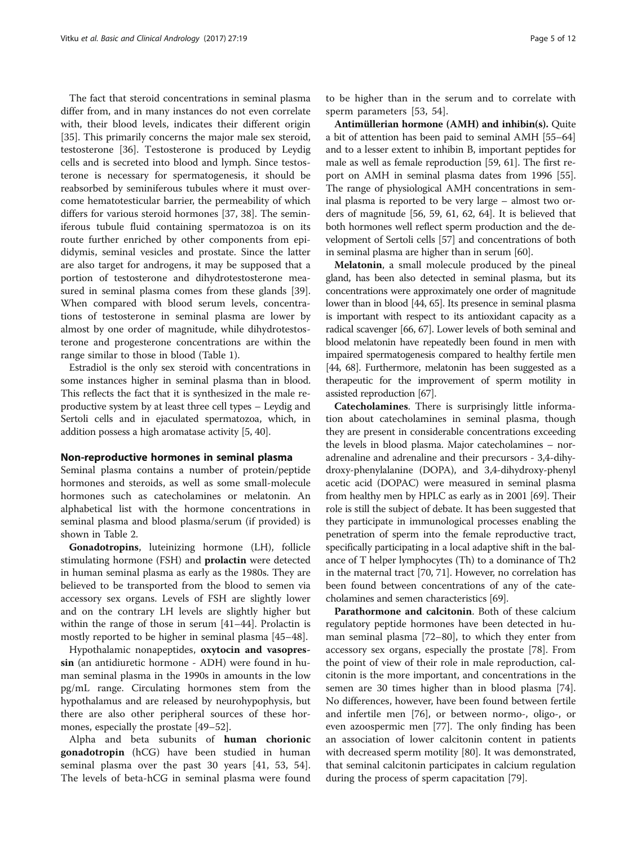The fact that steroid concentrations in seminal plasma differ from, and in many instances do not even correlate with, their blood levels, indicates their different origin [[35\]](#page-9-0). This primarily concerns the major male sex steroid, testosterone [[36\]](#page-9-0). Testosterone is produced by Leydig cells and is secreted into blood and lymph. Since testosterone is necessary for spermatogenesis, it should be reabsorbed by seminiferous tubules where it must overcome hematotesticular barrier, the permeability of which differs for various steroid hormones [\[37](#page-9-0), [38](#page-9-0)]. The seminiferous tubule fluid containing spermatozoa is on its route further enriched by other components from epididymis, seminal vesicles and prostate. Since the latter are also target for androgens, it may be supposed that a portion of testosterone and dihydrotestosterone measured in seminal plasma comes from these glands [\[39](#page-9-0)]. When compared with blood serum levels, concentrations of testosterone in seminal plasma are lower by almost by one order of magnitude, while dihydrotestosterone and progesterone concentrations are within the range similar to those in blood (Table [1\)](#page-2-0).

Estradiol is the only sex steroid with concentrations in some instances higher in seminal plasma than in blood. This reflects the fact that it is synthesized in the male reproductive system by at least three cell types – Leydig and Sertoli cells and in ejaculated spermatozoa, which, in addition possess a high aromatase activity [[5, 40](#page-9-0)].

#### Non-reproductive hormones in seminal plasma

Seminal plasma contains a number of protein/peptide hormones and steroids, as well as some small-molecule hormones such as catecholamines or melatonin. An alphabetical list with the hormone concentrations in seminal plasma and blood plasma/serum (if provided) is shown in Table [2.](#page-5-0)

Gonadotropins, luteinizing hormone (LH), follicle stimulating hormone (FSH) and prolactin were detected in human seminal plasma as early as the 1980s. They are believed to be transported from the blood to semen via accessory sex organs. Levels of FSH are slightly lower and on the contrary LH levels are slightly higher but within the range of those in serum [\[41](#page-9-0)–[44\]](#page-9-0). Prolactin is mostly reported to be higher in seminal plasma [\[45](#page-9-0)–[48\]](#page-9-0).

Hypothalamic nonapeptides, oxytocin and vasopressin (an antidiuretic hormone - ADH) were found in human seminal plasma in the 1990s in amounts in the low pg/mL range. Circulating hormones stem from the hypothalamus and are released by neurohypophysis, but there are also other peripheral sources of these hormones, especially the prostate [\[49](#page-9-0)–[52](#page-9-0)].

Alpha and beta subunits of human chorionic gonadotropin (hCG) have been studied in human seminal plasma over the past 30 years [[41, 53](#page-9-0), [54](#page-10-0)]. The levels of beta-hCG in seminal plasma were found

to be higher than in the serum and to correlate with sperm parameters [[53,](#page-9-0) [54\]](#page-10-0).

Antimüllerian hormone (AMH) and inhibin(s). Quite a bit of attention has been paid to seminal AMH [\[55](#page-10-0)–[64](#page-10-0)] and to a lesser extent to inhibin B, important peptides for male as well as female reproduction [[59](#page-10-0), [61](#page-10-0)]. The first report on AMH in seminal plasma dates from 1996 [[55](#page-10-0)]. The range of physiological AMH concentrations in seminal plasma is reported to be very large – almost two orders of magnitude [\[56, 59](#page-10-0), [61, 62](#page-10-0), [64\]](#page-10-0). It is believed that both hormones well reflect sperm production and the development of Sertoli cells [\[57\]](#page-10-0) and concentrations of both in seminal plasma are higher than in serum [[60](#page-10-0)].

Melatonin, a small molecule produced by the pineal gland, has been also detected in seminal plasma, but its concentrations were approximately one order of magnitude lower than in blood [\[44,](#page-9-0) [65](#page-10-0)]. Its presence in seminal plasma is important with respect to its antioxidant capacity as a radical scavenger [\[66](#page-10-0), [67\]](#page-10-0). Lower levels of both seminal and blood melatonin have repeatedly been found in men with impaired spermatogenesis compared to healthy fertile men [[44](#page-9-0), [68\]](#page-10-0). Furthermore, melatonin has been suggested as a therapeutic for the improvement of sperm motility in assisted reproduction [[67](#page-10-0)].

Catecholamines. There is surprisingly little information about catecholamines in seminal plasma, though they are present in considerable concentrations exceeding the levels in blood plasma. Major catecholamines – noradrenaline and adrenaline and their precursors - 3,4-dihydroxy-phenylalanine (DOPA), and 3,4-dihydroxy-phenyl acetic acid (DOPAC) were measured in seminal plasma from healthy men by HPLC as early as in 2001 [[69\]](#page-10-0). Their role is still the subject of debate. It has been suggested that they participate in immunological processes enabling the penetration of sperm into the female reproductive tract, specifically participating in a local adaptive shift in the balance of T helper lymphocytes (Th) to a dominance of Th2 in the maternal tract [\[70](#page-10-0), [71\]](#page-10-0). However, no correlation has been found between concentrations of any of the catecholamines and semen characteristics [[69](#page-10-0)].

Parathormone and calcitonin. Both of these calcium regulatory peptide hormones have been detected in human seminal plasma [\[72](#page-10-0)–[80\]](#page-10-0), to which they enter from accessory sex organs, especially the prostate [\[78](#page-10-0)]. From the point of view of their role in male reproduction, calcitonin is the more important, and concentrations in the semen are 30 times higher than in blood plasma [\[74](#page-10-0)]. No differences, however, have been found between fertile and infertile men [[76\]](#page-10-0), or between normo-, oligo-, or even azoospermic men [[77\]](#page-10-0). The only finding has been an association of lower calcitonin content in patients with decreased sperm motility [[80](#page-10-0)]. It was demonstrated, that seminal calcitonin participates in calcium regulation during the process of sperm capacitation [\[79\]](#page-10-0).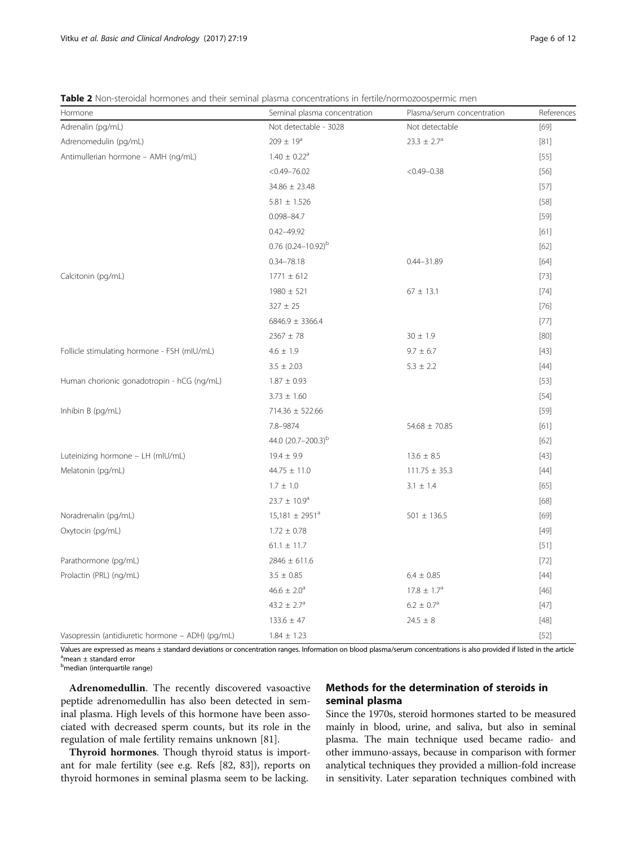<span id="page-5-0"></span>Table 2 Non-steroidal hormones and their seminal plasma concentrations in fertile/normozoospermic men

| Hormone                                          | Seminal plasma concentration   | Plasma/serum concentration  | References |
|--------------------------------------------------|--------------------------------|-----------------------------|------------|
| Adrenalin (pg/mL)                                | Not detectable - 3028          | Not detectable              | $[69]$     |
| Adrenomedulin (pg/mL)                            | $209 \pm 19^{\rm a}$           | $23.3 \pm 2.7$ <sup>a</sup> | $[81]$     |
| Antimullerian hormone - AMH (ng/mL)              | $1.40 \pm 0.22$ <sup>a</sup>   |                             | $[55]$     |
|                                                  | $<$ 0.49 - 76.02               | $< 0.49 - 0.38$             | $[56]$     |
|                                                  | $34.86 \pm 23.48$              |                             | [57]       |
|                                                  | $5.81 \pm 1.526$               |                             | $[58]$     |
|                                                  | $0.098 - 84.7$                 |                             | $[59]$     |
|                                                  | $0.42 - 49.92$                 |                             | $[61]$     |
|                                                  | $0.76$ $(0.24 - 10.92)^{b}$    |                             | $[62]$     |
|                                                  | $0.34 - 78.18$                 | $0.44 - 31.89$              | $[64]$     |
| Calcitonin (pg/mL)                               | $1771 \pm 612$                 |                             | $[73]$     |
|                                                  | $1980 \pm 521$                 | $67 \pm 13.1$               | $[74]$     |
|                                                  | $327 \pm 25$                   |                             | $[76]$     |
|                                                  | $6846.9 \pm 3366.4$            |                             | $[77]$     |
|                                                  | $2367 \pm 78$                  | $30 \pm 1.9$                | [80]       |
| Follicle stimulating hormone - FSH (mIU/mL)      | $4.6 \pm 1.9$                  | $9.7 \pm 6.7$               | $[43]$     |
|                                                  | $3.5 \pm 2.03$                 | $5.3 \pm 2.2$               | $[44]$     |
| Human chorionic gonadotropin - hCG (ng/mL)       | $1.87\pm0.93$                  |                             | $[53]$     |
|                                                  | $3.73 \pm 1.60$                |                             | $[54]$     |
| Inhibin B (pg/mL)                                | 714.36 ± 522.66                |                             | $[59]$     |
|                                                  | 7.8-9874                       | $54.68 \pm 70.85$           | $[61]$     |
|                                                  | 44.0 (20.7-200.3) <sup>b</sup> |                             | $[62]$     |
| Luteinizing hormone - LH (mIU/mL)                | $19.4 \pm 9.9$                 | $13.6 \pm 8.5$              | $[43]$     |
| Melatonin (pg/mL)                                | 44.75 $\pm$ 11.0               | $111.75 \pm 35.3$           | $[44]$     |
|                                                  | $1.7 \pm 1.0$                  | $3.1 \pm 1.4$               | $[65]$     |
|                                                  | $23.7 \pm 10.9^a$              |                             | $[68]$     |
| Noradrenalin (pg/mL)                             | $15,181 \pm 2951^a$            | $501 \pm 136.5$             | $[69]$     |
| Oxytocin (pg/mL)                                 | $1.72 \pm 0.78$                |                             | $[49]$     |
|                                                  | $61.1 \pm 11.7$                |                             | $[51]$     |
| Parathormone (pg/mL)                             | $2846 \pm 611.6$               |                             | $[72]$     |
| Prolactin (PRL) (ng/mL)                          | $3.5 \pm 0.85$                 | $6.4 \pm 0.85$              | $[44]$     |
|                                                  | $46.6 \pm 2.0^a$               | $17.8 \pm 1.7^a$            | $[46]$     |
|                                                  | $43.2 \pm 2.7^a$               | $6.2 \pm 0.7$ <sup>a</sup>  | $[47]$     |
|                                                  | $133.6 \pm 47$                 | $24.5 \pm 8$                | $[48]$     |
| Vasopressin (antidiuretic hormone - ADH) (pg/mL) | $1.84 \pm 1.23$                |                             | $[52]$     |

Values are expressed as means ± standard deviations or concentration ranges. Information on blood plasma/serum concentrations is also provided if listed in the article  $a$ <sub>mean</sub>  $\pm$  standard error

<sup>b</sup>median (interquartile range)

Adrenomedullin. The recently discovered vasoactive peptide adrenomedullin has also been detected in seminal plasma. High levels of this hormone have been associated with decreased sperm counts, but its role in the regulation of male fertility remains unknown [[81](#page-10-0)].

Thyroid hormones. Though thyroid status is important for male fertility (see e.g. Refs [\[82](#page-10-0), [83](#page-10-0)]), reports on thyroid hormones in seminal plasma seem to be lacking.

# Methods for the determination of steroids in seminal plasma

Since the 1970s, steroid hormones started to be measured mainly in blood, urine, and saliva, but also in seminal plasma. The main technique used became radio- and other immuno-assays, because in comparison with former analytical techniques they provided a million-fold increase in sensitivity. Later separation techniques combined with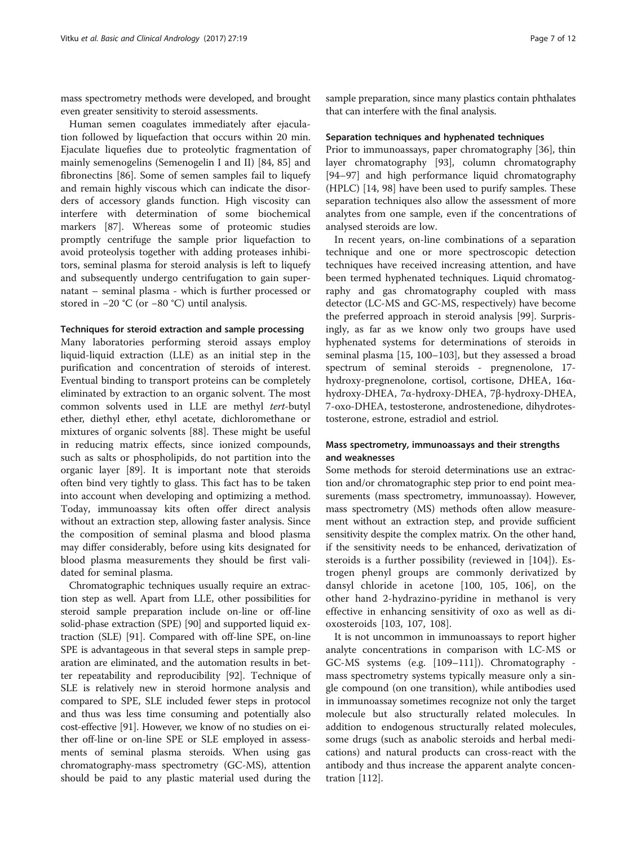mass spectrometry methods were developed, and brought even greater sensitivity to steroid assessments.

Human semen coagulates immediately after ejaculation followed by liquefaction that occurs within 20 min. Ejaculate liquefies due to proteolytic fragmentation of mainly semenogelins (Semenogelin I and II) [\[84](#page-10-0), [85](#page-10-0)] and fibronectins [\[86\]](#page-10-0). Some of semen samples fail to liquefy and remain highly viscous which can indicate the disorders of accessory glands function. High viscosity can interfere with determination of some biochemical markers [[87\]](#page-10-0). Whereas some of proteomic studies promptly centrifuge the sample prior liquefaction to avoid proteolysis together with adding proteases inhibitors, seminal plasma for steroid analysis is left to liquefy and subsequently undergo centrifugation to gain supernatant – seminal plasma - which is further processed or stored in −20 °C (or −80 °C) until analysis.

#### Techniques for steroid extraction and sample processing

Many laboratories performing steroid assays employ liquid-liquid extraction (LLE) as an initial step in the purification and concentration of steroids of interest. Eventual binding to transport proteins can be completely eliminated by extraction to an organic solvent. The most common solvents used in LLE are methyl tert-butyl ether, diethyl ether, ethyl acetate, dichloromethane or mixtures of organic solvents [\[88\]](#page-10-0). These might be useful in reducing matrix effects, since ionized compounds, such as salts or phospholipids, do not partition into the organic layer [\[89\]](#page-10-0). It is important note that steroids often bind very tightly to glass. This fact has to be taken into account when developing and optimizing a method. Today, immunoassay kits often offer direct analysis without an extraction step, allowing faster analysis. Since the composition of seminal plasma and blood plasma may differ considerably, before using kits designated for blood plasma measurements they should be first validated for seminal plasma.

Chromatographic techniques usually require an extraction step as well. Apart from LLE, other possibilities for steroid sample preparation include on-line or off-line solid-phase extraction (SPE) [[90](#page-10-0)] and supported liquid extraction (SLE) [[91\]](#page-10-0). Compared with off-line SPE, on-line SPE is advantageous in that several steps in sample preparation are eliminated, and the automation results in better repeatability and reproducibility [\[92\]](#page-10-0). Technique of SLE is relatively new in steroid hormone analysis and compared to SPE, SLE included fewer steps in protocol and thus was less time consuming and potentially also cost-effective [\[91\]](#page-10-0). However, we know of no studies on either off-line or on-line SPE or SLE employed in assessments of seminal plasma steroids. When using gas chromatography-mass spectrometry (GC-MS), attention should be paid to any plastic material used during the sample preparation, since many plastics contain phthalates that can interfere with the final analysis.

#### Separation techniques and hyphenated techniques

Prior to immunoassays, paper chromatography [[36\]](#page-9-0), thin layer chromatography [[93\]](#page-10-0), column chromatography [[94](#page-10-0)–[97](#page-10-0)] and high performance liquid chromatography (HPLC) [[14](#page-9-0), [98](#page-10-0)] have been used to purify samples. These separation techniques also allow the assessment of more analytes from one sample, even if the concentrations of analysed steroids are low.

In recent years, on-line combinations of a separation technique and one or more spectroscopic detection techniques have received increasing attention, and have been termed hyphenated techniques. Liquid chromatography and gas chromatography coupled with mass detector (LC-MS and GC-MS, respectively) have become the preferred approach in steroid analysis [[99](#page-10-0)]. Surprisingly, as far as we know only two groups have used hyphenated systems for determinations of steroids in seminal plasma [\[15](#page-9-0), [100](#page-10-0)–[103\]](#page-11-0), but they assessed a broad spectrum of seminal steroids - pregnenolone, 17 hydroxy-pregnenolone, cortisol, cortisone, DHEA, 16αhydroxy-DHEA, 7α-hydroxy-DHEA, 7β-hydroxy-DHEA, 7-oxo-DHEA, testosterone, androstenedione, dihydrotestosterone, estrone, estradiol and estriol.

# Mass spectrometry, immunoassays and their strengths and weaknesses

Some methods for steroid determinations use an extraction and/or chromatographic step prior to end point measurements (mass spectrometry, immunoassay). However, mass spectrometry (MS) methods often allow measurement without an extraction step, and provide sufficient sensitivity despite the complex matrix. On the other hand, if the sensitivity needs to be enhanced, derivatization of steroids is a further possibility (reviewed in [[104\]](#page-11-0)). Estrogen phenyl groups are commonly derivatized by dansyl chloride in acetone [[100](#page-10-0), [105, 106](#page-11-0)], on the other hand 2-hydrazino-pyridine in methanol is very effective in enhancing sensitivity of oxo as well as dioxosteroids [[103, 107, 108\]](#page-11-0).

It is not uncommon in immunoassays to report higher analyte concentrations in comparison with LC-MS or GC-MS systems (e.g. [\[109](#page-11-0)–[111\]](#page-11-0)). Chromatography mass spectrometry systems typically measure only a single compound (on one transition), while antibodies used in immunoassay sometimes recognize not only the target molecule but also structurally related molecules. In addition to endogenous structurally related molecules, some drugs (such as anabolic steroids and herbal medications) and natural products can cross-react with the antibody and thus increase the apparent analyte concentration [\[112](#page-11-0)].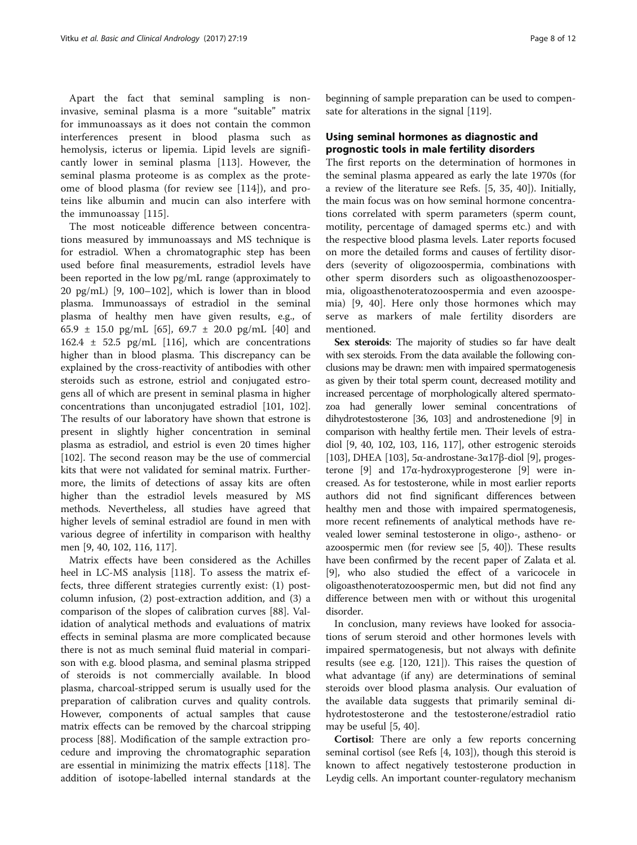Apart the fact that seminal sampling is noninvasive, seminal plasma is a more "suitable" matrix for immunoassays as it does not contain the common interferences present in blood plasma such as hemolysis, icterus or lipemia. Lipid levels are significantly lower in seminal plasma [\[113](#page-11-0)]. However, the seminal plasma proteome is as complex as the proteome of blood plasma (for review see [[114\]](#page-11-0)), and proteins like albumin and mucin can also interfere with the immunoassay [[115\]](#page-11-0).

The most noticeable difference between concentrations measured by immunoassays and MS technique is for estradiol. When a chromatographic step has been used before final measurements, estradiol levels have been reported in the low pg/mL range (approximately to 20 pg/mL) [[9,](#page-9-0) [100](#page-10-0)–[102\]](#page-11-0), which is lower than in blood plasma. Immunoassays of estradiol in the seminal plasma of healthy men have given results, e.g., of 65.9  $\pm$  15.0 pg/mL [[65\]](#page-10-0), 69.7  $\pm$  20.0 pg/mL [\[40](#page-9-0)] and 162.4  $\pm$  52.5 pg/mL [\[116\]](#page-11-0), which are concentrations higher than in blood plasma. This discrepancy can be explained by the cross-reactivity of antibodies with other steroids such as estrone, estriol and conjugated estrogens all of which are present in seminal plasma in higher concentrations than unconjugated estradiol [[101](#page-11-0), [102](#page-11-0)]. The results of our laboratory have shown that estrone is present in slightly higher concentration in seminal plasma as estradiol, and estriol is even 20 times higher [[102\]](#page-11-0). The second reason may be the use of commercial kits that were not validated for seminal matrix. Furthermore, the limits of detections of assay kits are often higher than the estradiol levels measured by MS methods. Nevertheless, all studies have agreed that higher levels of seminal estradiol are found in men with various degree of infertility in comparison with healthy men [[9, 40,](#page-9-0) [102](#page-11-0), [116](#page-11-0), [117](#page-11-0)].

Matrix effects have been considered as the Achilles heel in LC-MS analysis [[118\]](#page-11-0). To assess the matrix effects, three different strategies currently exist: (1) postcolumn infusion, (2) post-extraction addition, and (3) a comparison of the slopes of calibration curves [\[88](#page-10-0)]. Validation of analytical methods and evaluations of matrix effects in seminal plasma are more complicated because there is not as much seminal fluid material in comparison with e.g. blood plasma, and seminal plasma stripped of steroids is not commercially available. In blood plasma, charcoal-stripped serum is usually used for the preparation of calibration curves and quality controls. However, components of actual samples that cause matrix effects can be removed by the charcoal stripping process [[88\]](#page-10-0). Modification of the sample extraction procedure and improving the chromatographic separation are essential in minimizing the matrix effects [[118\]](#page-11-0). The addition of isotope-labelled internal standards at the beginning of sample preparation can be used to compen-sate for alterations in the signal [[119\]](#page-11-0).

# Using seminal hormones as diagnostic and prognostic tools in male fertility disorders

The first reports on the determination of hormones in the seminal plasma appeared as early the late 1970s (for a review of the literature see Refs. [\[5](#page-9-0), [35](#page-9-0), [40](#page-9-0)]). Initially, the main focus was on how seminal hormone concentrations correlated with sperm parameters (sperm count, motility, percentage of damaged sperms etc.) and with the respective blood plasma levels. Later reports focused on more the detailed forms and causes of fertility disorders (severity of oligozoospermia, combinations with other sperm disorders such as oligoasthenozoospermia, oligoasthenoteratozoospermia and even azoospemia) [\[9](#page-9-0), [40](#page-9-0)]. Here only those hormones which may serve as markers of male fertility disorders are mentioned.

Sex steroids: The majority of studies so far have dealt with sex steroids. From the data available the following conclusions may be drawn: men with impaired spermatogenesis as given by their total sperm count, decreased motility and increased percentage of morphologically altered spermatozoa had generally lower seminal concentrations of dihydrotestosterone [\[36](#page-9-0), [103](#page-11-0)] and androstenedione [\[9\]](#page-9-0) in comparison with healthy fertile men. Their levels of estradiol [[9, 40](#page-9-0), [102, 103](#page-11-0), [116](#page-11-0), [117\]](#page-11-0), other estrogenic steroids [[103](#page-11-0)], DHEA [\[103\]](#page-11-0), 5α-androstane-3α17β-diol [[9\]](#page-9-0), proges-terone [[9\]](#page-9-0) and  $17α$ -hydroxyprogesterone [[9](#page-9-0)] were increased. As for testosterone, while in most earlier reports authors did not find significant differences between healthy men and those with impaired spermatogenesis, more recent refinements of analytical methods have revealed lower seminal testosterone in oligo-, astheno- or azoospermic men (for review see [\[5](#page-9-0), [40](#page-9-0)]). These results have been confirmed by the recent paper of Zalata et al. [[9\]](#page-9-0), who also studied the effect of a varicocele in oligoasthenoteratozoospermic men, but did not find any difference between men with or without this urogenital disorder.

In conclusion, many reviews have looked for associations of serum steroid and other hormones levels with impaired spermatogenesis, but not always with definite results (see e.g. [[120](#page-11-0), [121](#page-11-0)]). This raises the question of what advantage (if any) are determinations of seminal steroids over blood plasma analysis. Our evaluation of the available data suggests that primarily seminal dihydrotestosterone and the testosterone/estradiol ratio may be useful [\[5](#page-9-0), [40](#page-9-0)].

Cortisol: There are only a few reports concerning seminal cortisol (see Refs [[4,](#page-9-0) [103\]](#page-11-0)), though this steroid is known to affect negatively testosterone production in Leydig cells. An important counter-regulatory mechanism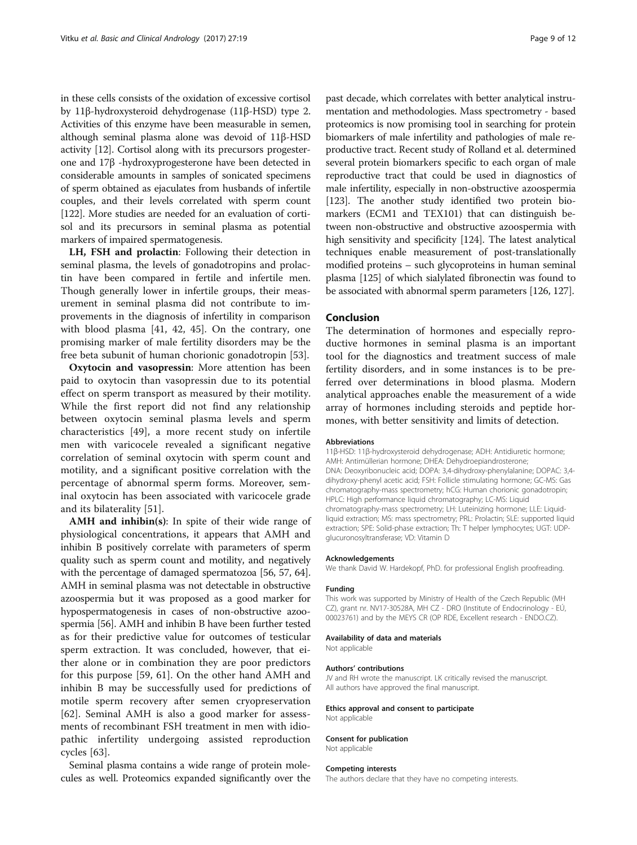in these cells consists of the oxidation of excessive cortisol by 11β-hydroxysteroid dehydrogenase (11β-HSD) type 2. Activities of this enzyme have been measurable in semen, although seminal plasma alone was devoid of 11β-HSD activity [[12](#page-9-0)]. Cortisol along with its precursors progesterone and 17β -hydroxyprogesterone have been detected in considerable amounts in samples of sonicated specimens of sperm obtained as ejaculates from husbands of infertile couples, and their levels correlated with sperm count [[122](#page-11-0)]. More studies are needed for an evaluation of cortisol and its precursors in seminal plasma as potential markers of impaired spermatogenesis.

LH, FSH and prolactin: Following their detection in seminal plasma, the levels of gonadotropins and prolactin have been compared in fertile and infertile men. Though generally lower in infertile groups, their measurement in seminal plasma did not contribute to improvements in the diagnosis of infertility in comparison with blood plasma [\[41](#page-9-0), [42](#page-9-0), [45\]](#page-9-0). On the contrary, one promising marker of male fertility disorders may be the free beta subunit of human chorionic gonadotropin [\[53\]](#page-9-0).

Oxytocin and vasopressin: More attention has been paid to oxytocin than vasopressin due to its potential effect on sperm transport as measured by their motility. While the first report did not find any relationship between oxytocin seminal plasma levels and sperm characteristics [[49\]](#page-9-0), a more recent study on infertile men with varicocele revealed a significant negative correlation of seminal oxytocin with sperm count and motility, and a significant positive correlation with the percentage of abnormal sperm forms. Moreover, seminal oxytocin has been associated with varicocele grade and its bilaterality [[51\]](#page-9-0).

AMH and inhibin(s): In spite of their wide range of physiological concentrations, it appears that AMH and inhibin B positively correlate with parameters of sperm quality such as sperm count and motility, and negatively with the percentage of damaged spermatozoa [\[56, 57, 64](#page-10-0)]. AMH in seminal plasma was not detectable in obstructive azoospermia but it was proposed as a good marker for hypospermatogenesis in cases of non-obstructive azoospermia [\[56\]](#page-10-0). AMH and inhibin B have been further tested as for their predictive value for outcomes of testicular sperm extraction. It was concluded, however, that either alone or in combination they are poor predictors for this purpose [[59, 61](#page-10-0)]. On the other hand AMH and inhibin B may be successfully used for predictions of motile sperm recovery after semen cryopreservation [[62\]](#page-10-0). Seminal AMH is also a good marker for assessments of recombinant FSH treatment in men with idiopathic infertility undergoing assisted reproduction cycles [\[63](#page-10-0)].

Seminal plasma contains a wide range of protein molecules as well. Proteomics expanded significantly over the

past decade, which correlates with better analytical instrumentation and methodologies. Mass spectrometry - based proteomics is now promising tool in searching for protein biomarkers of male infertility and pathologies of male reproductive tract. Recent study of Rolland et al. determined several protein biomarkers specific to each organ of male reproductive tract that could be used in diagnostics of male infertility, especially in non-obstructive azoospermia [[123](#page-11-0)]. The another study identified two protein biomarkers (ECM1 and TEX101) that can distinguish between non-obstructive and obstructive azoospermia with high sensitivity and specificity [[124](#page-11-0)]. The latest analytical techniques enable measurement of post-translationally modified proteins – such glycoproteins in human seminal plasma [\[125\]](#page-11-0) of which sialylated fibronectin was found to be associated with abnormal sperm parameters [\[126, 127\]](#page-11-0).

### Conclusion

The determination of hormones and especially reproductive hormones in seminal plasma is an important tool for the diagnostics and treatment success of male fertility disorders, and in some instances is to be preferred over determinations in blood plasma. Modern analytical approaches enable the measurement of a wide array of hormones including steroids and peptide hormones, with better sensitivity and limits of detection.

#### Abbreviations

11β-HSD: 11β-hydroxysteroid dehydrogenase; ADH: Antidiuretic hormone; AMH: Antimüllerian hormone; DHEA: Dehydroepiandrosterone; DNA: Deoxyribonucleic acid; DOPA: 3,4-dihydroxy-phenylalanine; DOPAC: 3,4 dihydroxy-phenyl acetic acid; FSH: Follicle stimulating hormone; GC-MS: Gas chromatography-mass spectrometry; hCG: Human chorionic gonadotropin; HPLC: High performance liquid chromatography; LC-MS: Liquid chromatography-mass spectrometry; LH: Luteinizing hormone; LLE: Liquidliquid extraction; MS: mass spectrometry; PRL: Prolactin; SLE: supported liquid extraction; SPE: Solid-phase extraction; Th: T helper lymphocytes; UGT: UDPglucuronosyltransferase; VD: Vitamin D

#### Acknowledgements

We thank David W. Hardekopf, PhD. for professional English proofreading.

#### Funding

This work was supported by Ministry of Health of the Czech Republic (MH CZ), grant nr. NV17-30528A, MH CZ - DRO (Institute of Endocrinology - EÚ, 00023761) and by the MEYS CR (OP RDE, Excellent research - ENDO.CZ).

#### Availability of data and materials

Not applicable

### Authors' contributions

JV and RH wrote the manuscript. LK critically revised the manuscript. All authors have approved the final manuscript.

#### Ethics approval and consent to participate

# Consent for publication

Not applicable

Not applicable

#### Competing interests

The authors declare that they have no competing interests.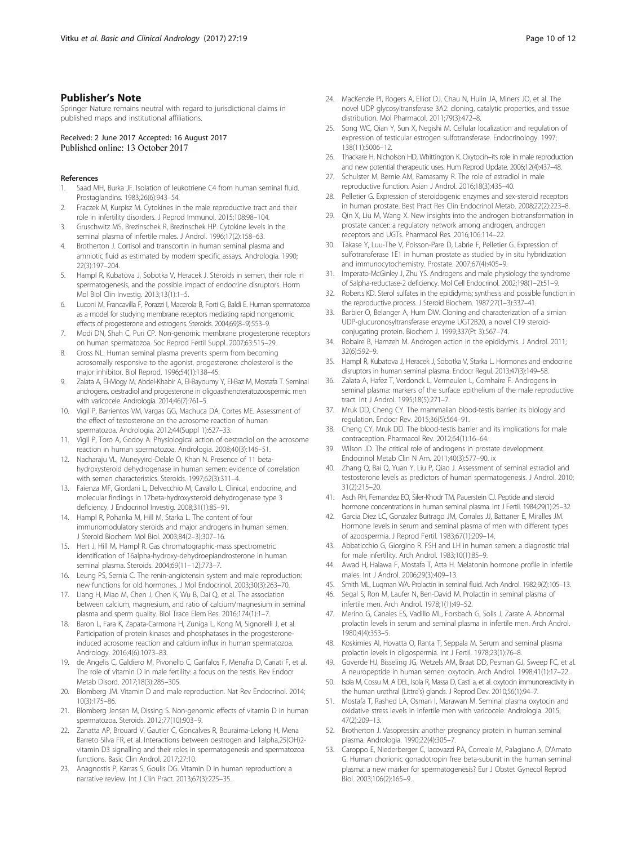# <span id="page-9-0"></span>Publisher's Note

Springer Nature remains neutral with regard to jurisdictional claims in published maps and institutional affiliations.

Received: 2 June 2017 Accepted: 16 August 2017<br>Published online: 13 October 2017

#### References

- Saad MH, Burka JF. Isolation of leukotriene C4 from human seminal fluid. Prostaglandins. 1983;26(6):943–54.
- Fraczek M, Kurpisz M. Cytokines in the male reproductive tract and their role in infertility disorders. J Reprod Immunol. 2015;108:98–104.
- 3. Gruschwitz MS, Brezinschek R, Brezinschek HP. Cytokine levels in the seminal plasma of infertile males. J Androl. 1996;17(2):158–63.
- 4. Brotherton J. Cortisol and transcortin in human seminal plasma and amniotic fluid as estimated by modern specific assays. Andrologia. 1990; 22(3):197–204.
- 5. Hampl R, Kubatova J, Sobotka V, Heracek J. Steroids in semen, their role in spermatogenesis, and the possible impact of endocrine disruptors. Horm Mol Biol Clin Investig. 2013;13(1):1–5.
- 6. Luconi M, Francavilla F, Porazzi I, Macerola B, Forti G, Baldi E. Human spermatozoa as a model for studying membrane receptors mediating rapid nongenomic effects of progesterone and estrogens. Steroids. 2004;69(8–9):553–9.
- 7. Modi DN, Shah C, Puri CP. Non-genomic membrane progesterone receptors on human spermatozoa. Soc Reprod Fertil Suppl. 2007;63:515–29.
- 8. Cross NL. Human seminal plasma prevents sperm from becoming acrosomally responsive to the agonist, progesterone: cholesterol is the major inhibitor. Biol Reprod. 1996;54(1):138–45.
- 9. Zalata A, El-Mogy M, Abdel-Khabir A, El-Bayoumy Y, El-Baz M, Mostafa T. Seminal androgens, oestradiol and progesterone in oligoasthenoteratozoospermic men with varicocele. Andrologia. 2014;46(7):761–5.
- 10. Vigil P, Barrientos VM, Vargas GG, Machuca DA, Cortes ME. Assessment of the effect of testosterone on the acrosome reaction of human spermatozoa. Andrologia. 2012;44(Suppl 1):627–33.
- 11. Vigil P, Toro A, Godoy A. Physiological action of oestradiol on the acrosome reaction in human spermatozoa. Andrologia. 2008;40(3):146–51.
- 12. Nacharaju VL, Muneyyirci-Delale O, Khan N. Presence of 11 betahydroxysteroid dehydrogenase in human semen: evidence of correlation with semen characteristics. Steroids. 1997;62(3):311–4.
- 13. Faienza MF, Giordani L, Delvecchio M, Cavallo L. Clinical, endocrine, and molecular findings in 17beta-hydroxysteroid dehydrogenase type 3 deficiency. J Endocrinol Investig. 2008;31(1):85–91.
- 14. Hampl R, Pohanka M, Hill M, Starka L. The content of four immunomodulatory steroids and major androgens in human semen. J Steroid Biochem Mol Biol. 2003;84(2–3):307–16.
- 15. Hert J, Hill M, Hampl R. Gas chromatographic-mass spectrometric identification of 16alpha-hydroxy-dehydroepiandrosterone in human seminal plasma. Steroids. 2004;69(11–12):773–7.
- 16. Leung PS, Sernia C. The renin-angiotensin system and male reproduction: new functions for old hormones. J Mol Endocrinol. 2003;30(3):263–70.
- 17. Liang H, Miao M, Chen J, Chen K, Wu B, Dai Q, et al. The association between calcium, magnesium, and ratio of calcium/magnesium in seminal plasma and sperm quality. Biol Trace Elem Res. 2016;174(1):1–7.
- 18. Baron L, Fara K, Zapata-Carmona H, Zuniga L, Kong M, Signorelli J, et al. Participation of protein kinases and phosphatases in the progesteroneinduced acrosome reaction and calcium influx in human spermatozoa. Andrology. 2016;4(6):1073–83.
- 19. de Angelis C, Galdiero M, Pivonello C, Garifalos F, Menafra D, Cariati F, et al. The role of vitamin D in male fertility: a focus on the testis. Rev Endocr Metab Disord. 2017;18(3):285–305.
- 20. Blomberg JM. Vitamin D and male reproduction. Nat Rev Endocrinol. 2014; 10(3):175–86.
- 21. Blomberg Jensen M, Dissing S. Non-genomic effects of vitamin D in human spermatozoa. Steroids. 2012;77(10):903–9.
- 22. Zanatta AP, Brouard V, Gautier C, Goncalves R, Bouraima-Lelong H, Mena Barreto Silva FR, et al. Interactions between oestrogen and 1alpha,25(OH)2 vitamin D3 signalling and their roles in spermatogenesis and spermatozoa functions. Basic Clin Androl. 2017;27:10.
- 23. Anagnostis P, Karras S, Goulis DG. Vitamin D in human reproduction: a narrative review. Int J Clin Pract. 2013;67(3):225–35.
- 24. MacKenzie PI, Rogers A, Elliot DJ, Chau N, Hulin JA, Miners JO, et al. The novel UDP glycosyltransferase 3A2: cloning, catalytic properties, and tissue distribution. Mol Pharmacol. 2011;79(3):472–8.
- 25. Song WC, Qian Y, Sun X, Negishi M. Cellular localization and regulation of expression of testicular estrogen sulfotransferase. Endocrinology. 1997; 138(11):5006–12.
- 26. Thackare H, Nicholson HD, Whittington K. Oxytocin–its role in male reproduction and new potential therapeutic uses. Hum Reprod Update. 2006;12(4):437–48.
- 27. Schulster M, Bernie AM, Ramasamy R. The role of estradiol in male reproductive function. Asian J Androl. 2016;18(3):435–40.
- 28. Pelletier G. Expression of steroidogenic enzymes and sex-steroid receptors in human prostate. Best Pract Res Clin Endocrinol Metab. 2008;22(2):223–8.
- 29. Qin X, Liu M, Wang X. New insights into the androgen biotransformation in prostate cancer: a regulatory network among androgen, androgen receptors and UGTs. Pharmacol Res. 2016;106:114–22.
- 30. Takase Y, Luu-The V, Poisson-Pare D, Labrie F, Pelletier G. Expression of sulfotransferase 1E1 in human prostate as studied by in situ hybridization and immunocytochemistry. Prostate. 2007;67(4):405–9.
- 31. Imperato-McGinley J, Zhu YS. Androgens and male physiology the syndrome of 5alpha-reductase-2 deficiency. Mol Cell Endocrinol. 2002;198(1–2):51–9.
- 32. Roberts KD. Sterol sulfates in the epididymis; synthesis and possible function in the reproductive process. J Steroid Biochem. 1987;27(1–3):337–41.
- 33. Barbier O, Belanger A, Hum DW. Cloning and characterization of a simian UDP-glucuronosyltransferase enzyme UGT2B20, a novel C19 steroidconjugating protein. Biochem J. 1999;337(Pt 3):567–74.
- 34. Robaire B, Hamzeh M. Androgen action in the epididymis. J Androl. 2011; 32(6):592–9.
- 35. Hampl R, Kubatova J, Heracek J, Sobotka V, Starka L. Hormones and endocrine disruptors in human seminal plasma. Endocr Regul. 2013;47(3):149–58.
- 36. Zalata A, Hafez T, Verdonck L, Vermeulen L, Comhaire F. Androgens in seminal plasma: markers of the surface epithelium of the male reproductive tract. Int J Androl. 1995;18(5):271–7.
- 37. Mruk DD, Cheng CY. The mammalian blood-testis barrier: its biology and regulation. Endocr Rev. 2015;36(5):564–91.
- 38. Cheng CY, Mruk DD. The blood-testis barrier and its implications for male contraception. Pharmacol Rev. 2012;64(1):16–64.
- 39. Wilson JD. The critical role of androgens in prostate development. Endocrinol Metab Clin N Am. 2011;40(3):577–90. ix
- 40. Zhang Q, Bai Q, Yuan Y, Liu P, Qiao J. Assessment of seminal estradiol and testosterone levels as predictors of human spermatogenesis. J Androl. 2010; 31(2):215–20.
- 41. Asch RH, Fernandez EO, Siler-Khodr TM, Pauerstein CJ. Peptide and steroid hormone concentrations in human seminal plasma. Int J Fertil. 1984;29(1):25–32.
- 42. Garcia Diez LC, Gonzalez Buitrago JM, Corrales JJ, Battaner E, Miralles JM. Hormone levels in serum and seminal plasma of men with different types of azoospermia. J Reprod Fertil. 1983;67(1):209–14.
- 43. Abbaticchio G, Giorgino R. FSH and LH in human semen: a diagnostic trial for male infertility. Arch Androl. 1983;10(1):85–9.
- 44. Awad H, Halawa F, Mostafa T, Atta H. Melatonin hormone profile in infertile males. Int J Androl. 2006;29(3):409–13.
- 45. Smith ML, Luqman WA. Prolactin in seminal fluid. Arch Androl. 1982;9(2):105–13.
- 46. Segal S, Ron M, Laufer N, Ben-David M. Prolactin in seminal plasma of infertile men. Arch Androl. 1978;1(1):49–52.
- 47. Merino G, Canales ES, Vadillo ML, Forsbach G, Solis J, Zarate A. Abnormal prolactin levels in serum and seminal plasma in infertile men. Arch Androl. 1980;4(4):353–5.
- 48. Koskimies AI, Hovatta O, Ranta T, Seppala M. Serum and seminal plasma prolactin levels in oligospermia. Int J Fertil. 1978;23(1):76–8.
- 49. Goverde HJ, Bisseling JG, Wetzels AM, Braat DD, Pesman GJ, Sweep FC, et al. A neuropeptide in human semen: oxytocin. Arch Androl. 1998;41(1):17–22.
- 50. Isola M, Cossu M. A DEL, Isola R, Massa D, Casti a, et al. oxytocin immunoreactivity in the human urethral (Littre's) glands. J Reprod Dev. 2010;56(1):94–7.
- 51. Mostafa T, Rashed LA, Osman I, Marawan M. Seminal plasma oxytocin and oxidative stress levels in infertile men with varicocele. Andrologia. 2015; 47(2):209–13.
- 52. Brotherton J. Vasopressin: another pregnancy protein in human seminal plasma. Andrologia. 1990;22(4):305–7.
- 53. Caroppo E, Niederberger C, Iacovazzi PA, Correale M, Palagiano A, D'Amato G. Human chorionic gonadotropin free beta-subunit in the human seminal plasma: a new marker for spermatogenesis? Eur J Obstet Gynecol Reprod Biol. 2003;106(2):165–9.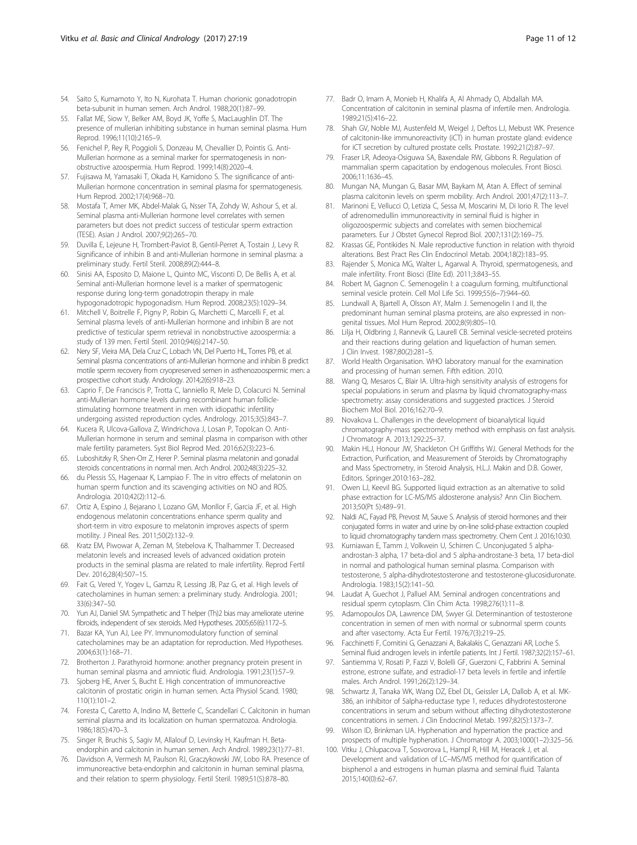- <span id="page-10-0"></span>54. Saito S, Kumamoto Y, Ito N, Kurohata T. Human chorionic gonadotropin beta-subunit in human semen. Arch Androl. 1988;20(1):87–99.
- 55. Fallat ME, Siow Y, Belker AM, Boyd JK, Yoffe S, MacLaughlin DT. The presence of mullerian inhibiting substance in human seminal plasma. Hum Reprod. 1996;11(10):2165–9.
- 56. Fenichel P, Rey R, Poggioli S, Donzeau M, Chevallier D, Pointis G. Anti-Mullerian hormone as a seminal marker for spermatogenesis in nonobstructive azoospermia. Hum Reprod. 1999;14(8):2020–4.
- 57. Fujisawa M, Yamasaki T, Okada H, Kamidono S. The significance of anti-Mullerian hormone concentration in seminal plasma for spermatogenesis. Hum Reprod. 2002;17(4):968–70.
- 58. Mostafa T, Amer MK, Abdel-Malak G, Nsser TA, Zohdy W, Ashour S, et al. Seminal plasma anti-Mullerian hormone level correlates with semen parameters but does not predict success of testicular sperm extraction (TESE). Asian J Androl. 2007;9(2):265–70.
- 59. Duvilla E, Lejeune H, Trombert-Paviot B, Gentil-Perret A, Tostain J, Levy R. Significance of inhibin B and anti-Mullerian hormone in seminal plasma: a preliminary study. Fertil Steril. 2008;89(2):444–8.
- 60. Sinisi AA, Esposito D, Maione L, Quinto MC, Visconti D, De Bellis A, et al. Seminal anti-Mullerian hormone level is a marker of spermatogenic response during long-term gonadotropin therapy in male hypogonadotropic hypogonadism. Hum Reprod. 2008;23(5):1029–34.
- 61. Mitchell V, Boitrelle F, Pigny P, Robin G, Marchetti C, Marcelli F, et al. Seminal plasma levels of anti-Mullerian hormone and inhibin B are not predictive of testicular sperm retrieval in nonobstructive azoospermia: a study of 139 men. Fertil Steril. 2010;94(6):2147–50.
- 62. Nery SF, Vieira MA, Dela Cruz C, Lobach VN, Del Puerto HL, Torres PB, et al. Seminal plasma concentrations of anti-Mullerian hormone and inhibin B predict motile sperm recovery from cryopreserved semen in asthenozoospermic men: a prospective cohort study. Andrology. 2014;2(6):918–23.
- 63. Caprio F, De Franciscis P, Trotta C, Ianniello R, Mele D, Colacurci N. Seminal anti-Mullerian hormone levels during recombinant human folliclestimulating hormone treatment in men with idiopathic infertility undergoing assisted reproduction cycles. Andrology. 2015;3(5):843–7.
- 64. Kucera R, Ulcova-Gallova Z, Windrichova J, Losan P, Topolcan O. Anti-Mullerian hormone in serum and seminal plasma in comparison with other male fertility parameters. Syst Biol Reprod Med. 2016;62(3):223–6.
- 65. Luboshitzky R, Shen-Orr Z, Herer P. Seminal plasma melatonin and gonadal steroids concentrations in normal men. Arch Androl. 2002;48(3):225–32.
- 66. du Plessis SS, Hagenaar K, Lampiao F. The in vitro effects of melatonin on human sperm function and its scavenging activities on NO and ROS. Andrologia. 2010;42(2):112–6.
- 67. Ortiz A, Espino J, Bejarano I, Lozano GM, Monllor F, Garcia JF, et al. High endogenous melatonin concentrations enhance sperm quality and short-term in vitro exposure to melatonin improves aspects of sperm motility. J Pineal Res. 2011;50(2):132–9.
- 68. Kratz EM, Piwowar A, Zeman M, Stebelova K, Thalhammer T. Decreased melatonin levels and increased levels of advanced oxidation protein products in the seminal plasma are related to male infertility. Reprod Fertil Dev. 2016;28(4):507–15.
- 69. Fait G, Vered Y, Yogev L, Gamzu R, Lessing JB, Paz G, et al. High levels of catecholamines in human semen: a preliminary study. Andrologia. 2001; 33(6):347–50.
- 70. Yun AJ, Daniel SM. Sympathetic and T helper (Th)2 bias may ameliorate uterine fibroids, independent of sex steroids. Med Hypotheses. 2005;65(6):1172–5.
- 71. Bazar KA, Yun AJ, Lee PY. Immunomodulatory function of seminal catecholamines may be an adaptation for reproduction. Med Hypotheses. 2004;63(1):168–71.
- 72. Brotherton J. Parathyroid hormone: another pregnancy protein present in human seminal plasma and amniotic fluid. Andrologia. 1991;23(1):57–9.
- 73. Sjoberg HE, Arver S, Bucht E. High concentration of immunoreactive calcitonin of prostatic origin in human semen. Acta Physiol Scand. 1980; 110(1):101–2.
- 74. Foresta C, Caretto A, Indino M, Betterle C, Scandellari C. Calcitonin in human seminal plasma and its localization on human spermatozoa. Andrologia. 1986;18(5):470–3.
- 75. Singer R, Bruchis S, Sagiv M, Allalouf D, Levinsky H, Kaufman H. Betaendorphin and calcitonin in human semen. Arch Androl. 1989;23(1):77–81.
- 76. Davidson A, Vermesh M, Paulson RJ, Graczykowski JW, Lobo RA. Presence of immunoreactive beta-endorphin and calcitonin in human seminal plasma, and their relation to sperm physiology. Fertil Steril. 1989;51(5):878–80.
- 77. Badr O, Imam A, Monieb H, Khalifa A, Al Ahmady O, Abdallah MA. Concentration of calcitonin in seminal plasma of infertile men. Andrologia. 1989;21(5):416–22.
- 78. Shah GV, Noble MJ, Austenfeld M, Weigel J, Deftos LJ, Mebust WK. Presence of calcitonin-like immunoreactivity (iCT) in human prostate gland: evidence for iCT secretion by cultured prostate cells. Prostate. 1992;21(2):87–97.
- 79. Fraser LR, Adeoya-Osiguwa SA, Baxendale RW, Gibbons R. Regulation of mammalian sperm capacitation by endogenous molecules. Front Biosci. 2006;11:1636–45.
- 80. Mungan NA, Mungan G, Basar MM, Baykam M, Atan A. Effect of seminal plasma calcitonin levels on sperm mobility. Arch Androl. 2001;47(2):113–7.
- 81. Marinoni E, Vellucci O, Letizia C, Sessa M, Moscarini M, Di Iorio R. The level of adrenomedullin immunoreactivity in seminal fluid is higher in oligozoospermic subjects and correlates with semen biochemical parameters. Eur J Obstet Gynecol Reprod Biol. 2007;131(2):169–75.
- Krassas GE, Pontikides N. Male reproductive function in relation with thyroid alterations. Best Pract Res Clin Endocrinol Metab. 2004;18(2):183–95.
- 83. Rajender S, Monica MG, Walter L, Agarwal A. Thyroid, spermatogenesis, and male infertility. Front Biosci (Elite Ed). 2011;3:843–55.
- 84. Robert M, Gagnon C. Semenogelin I: a coagulum forming, multifunctional seminal vesicle protein. Cell Mol Life Sci. 1999;55(6–7):944–60.
- 85. Lundwall A, Bjartell A, Olsson AY, Malm J. Semenogelin I and II, the predominant human seminal plasma proteins, are also expressed in nongenital tissues. Mol Hum Reprod. 2002;8(9):805–10.
- 86. Lilja H, Oldbring J, Rannevik G, Laurell CB. Seminal vesicle-secreted proteins and their reactions during gelation and liquefaction of human semen. J Clin Invest. 1987;80(2):281–5.
- 87. World Health Organisation. WHO laboratory manual for the examination and processing of human semen. Fifth edition. 2010.
- 88. Wang Q, Mesaros C, Blair IA. Ultra-high sensitivity analysis of estrogens for special populations in serum and plasma by liquid chromatography-mass spectrometry: assay considerations and suggested practices. J Steroid Biochem Mol Biol. 2016;162:70–9.
- 89. Novakova L. Challenges in the development of bioanalytical liquid chromatography-mass spectrometry method with emphasis on fast analysis. J Chromatogr A. 2013;1292:25–37.
- 90. Makin HLJ, Honour JW, Shackleton CH Griffiths WJ. General Methods for the Extraction, Purification, and Measurement of Steroids by Chromatography and Mass Spectrometry, in Steroid Analysis, H.L.J. Makin and D.B. Gower, Editors. Springer.2010:163–282.
- 91. Owen LJ, Keevil BG. Supported liquid extraction as an alternative to solid phase extraction for LC-MS/MS aldosterone analysis? Ann Clin Biochem. 2013;50(Pt 5):489–91.
- 92. Naldi AC, Fayad PB, Prevost M, Sauve S. Analysis of steroid hormones and their conjugated forms in water and urine by on-line solid-phase extraction coupled to liquid chromatography tandem mass spectrometry. Chem Cent J. 2016;10:30.
- 93. Kurniawan E, Tamm J, Volkwein U, Schirren C. Unconjugated 5 alphaandrostan-3 alpha, 17 beta-diol and 5 alpha-androstane-3 beta, 17 beta-diol in normal and pathological human seminal plasma. Comparison with testosterone, 5 alpha-dihydrotestosterone and testosterone-glucosiduronate. Andrologia. 1983;15(2):141–50.
- 94. Laudat A, Guechot J, Palluel AM. Seminal androgen concentrations and residual sperm cytoplasm. Clin Chim Acta. 1998;276(1):11–8.
- 95. Adamopoulos DA, Lawrence DM, Swyer GI. Determinantion of testosterone concentration in semen of men with normal or subnormal sperm counts and after vasectomy. Acta Eur Fertil. 1976;7(3):219–25.
- 96. Facchinetti F, Comitini G, Genazzani A, Bakalakis C, Genazzani AR, Loche S. Seminal fluid androgen levels in infertile patients. Int J Fertil. 1987;32(2):157–61.
- 97. Santiemma V, Rosati P, Fazzi V, Bolelli GF, Guerzoni C, Fabbrini A. Seminal estrone, estrone sulfate, and estradiol-17 beta levels in fertile and infertile males. Arch Androl. 1991;26(2):129–34.
- 98. Schwartz JI, Tanaka WK, Wang DZ, Ebel DL, Geissler LA, Dallob A, et al. MK-386, an inhibitor of 5alpha-reductase type 1, reduces dihydrotestosterone concentrations in serum and sebum without affecting dihydrotestosterone concentrations in semen. J Clin Endocrinol Metab. 1997;82(5):1373–7.
- 99. Wilson ID, Brinkman UA. Hyphenation and hypernation the practice and prospects of multiple hyphenation. J Chromatogr A. 2003;1000(1–2):325–56.
- 100. Vitku J, Chlupacova T, Sosvorova L, Hampl R, Hill M, Heracek J, et al. Development and validation of LC–MS/MS method for quantification of bisphenol a and estrogens in human plasma and seminal fluid. Talanta 2015;140(0):62–67.